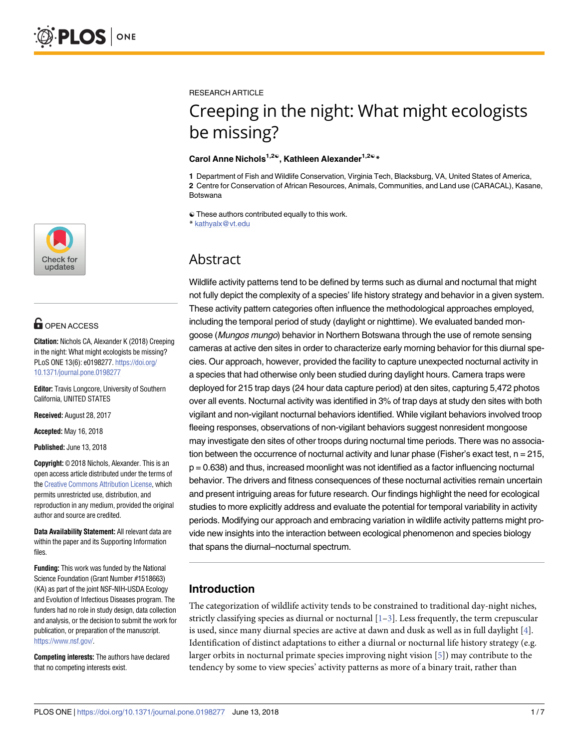

# **OPEN ACCESS**

**Citation:** Nichols CA, Alexander K (2018) Creeping in the night: What might ecologists be missing? PLoS ONE 13(6): e0198277. [https://doi.org/](https://doi.org/10.1371/journal.pone.0198277) [10.1371/journal.pone.0198277](https://doi.org/10.1371/journal.pone.0198277)

**Editor:** Travis Longcore, University of Southern California, UNITED STATES

**Received:** August 28, 2017

**Accepted:** May 16, 2018

**Published:** June 13, 2018

**Copyright:** © 2018 Nichols, Alexander. This is an open access article distributed under the terms of the Creative [Commons](http://creativecommons.org/licenses/by/4.0/) Attribution License, which permits unrestricted use, distribution, and reproduction in any medium, provided the original author and source are credited.

**Data Availability Statement:** All relevant data are within the paper and its Supporting Information files.

**Funding:** This work was funded by the National Science Foundation (Grant Number #1518663) (KA) as part of the joint NSF-NIH-USDA Ecology and Evolution of Infectious Diseases program. The funders had no role in study design, data collection and analysis, or the decision to submit the work for publication, or preparation of the manuscript. <https://www.nsf.gov/>.

**Competing interests:** The authors have declared that no competing interests exist.

<span id="page-0-0"></span>RESEARCH ARTICLE

# Creeping in the night: What might ecologists be missing?

## **Carol Anne Nichols1,2**☯**, Kathleen Alexander1,2**☯**\***

**1** Department of Fish and Wildlife Conservation, Virginia Tech, Blacksburg, VA, United States of America, **2** Centre for Conservation of African Resources, Animals, Communities, and Land use (CARACAL), Kasane, Botswana

☯ These authors contributed equally to this work. \* kathyalx@vt.edu

# Abstract

Wildlife activity patterns tend to be defined by terms such as diurnal and nocturnal that might not fully depict the complexity of a species' life history strategy and behavior in a given system. These activity pattern categories often influence the methodological approaches employed, including the temporal period of study (daylight or nighttime). We evaluated banded mongoose (Mungos mungo) behavior in Northern Botswana through the use of remote sensing cameras at active den sites in order to characterize early morning behavior for this diurnal species. Our approach, however, provided the facility to capture unexpected nocturnal activity in a species that had otherwise only been studied during daylight hours. Camera traps were deployed for 215 trap days (24 hour data capture period) at den sites, capturing 5,472 photos over all events. Nocturnal activity was identified in 3% of trap days at study den sites with both vigilant and non-vigilant nocturnal behaviors identified. While vigilant behaviors involved troop fleeing responses, observations of non-vigilant behaviors suggest nonresident mongoose may investigate den sites of other troops during nocturnal time periods. There was no association between the occurrence of nocturnal activity and lunar phase (Fisher's exact test,  $n = 215$ , p = 0.638) and thus, increased moonlight was not identified as a factor influencing nocturnal behavior. The drivers and fitness consequences of these nocturnal activities remain uncertain and present intriguing areas for future research. Our findings highlight the need for ecological studies to more explicitly address and evaluate the potential for temporal variability in activity periods. Modifying our approach and embracing variation in wildlife activity patterns might provide new insights into the interaction between ecological phenomenon and species biology that spans the diurnal–nocturnal spectrum.

# **Introduction**

The categorization of wildlife activity tends to be constrained to traditional day-night niches, strictly classifying species as diurnal or nocturnal  $[1-3]$ . Less frequently, the term crepuscular is used, since many diurnal species are active at dawn and dusk as well as in full daylight [[4\]](#page-4-0). Identification of distinct adaptations to either a diurnal or nocturnal life history strategy (e.g. larger orbits in nocturnal primate species improving night vision [\[5\]](#page-5-0)) may contribute to the tendency by some to view species' activity patterns as more of a binary trait, rather than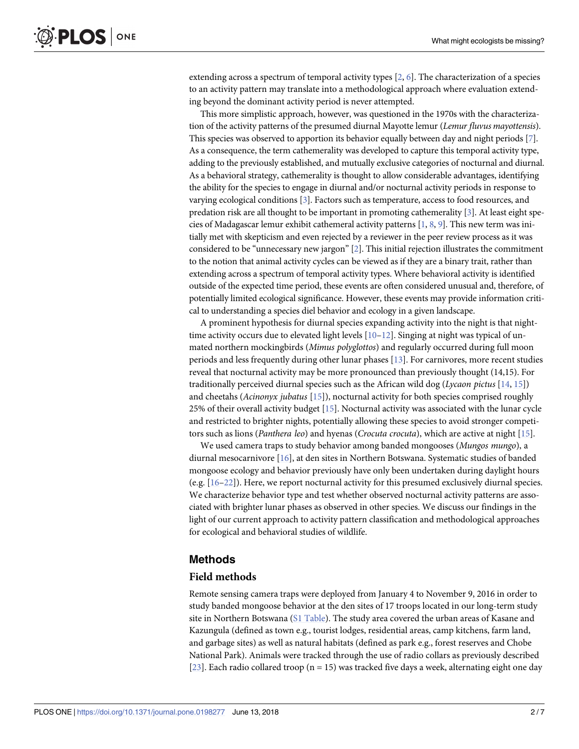<span id="page-1-0"></span>extending across a spectrum of temporal activity types [[2](#page-4-0), [6\]](#page-5-0). The characterization of a species to an activity pattern may translate into a methodological approach where evaluation extending beyond the dominant activity period is never attempted.

This more simplistic approach, however, was questioned in the 1970s with the characterization of the activity patterns of the presumed diurnal Mayotte lemur (*Lemur fluvus mayottensis*). This species was observed to apportion its behavior equally between day and night periods [\[7\]](#page-5-0). As a consequence, the term cathemerality was developed to capture this temporal activity type, adding to the previously established, and mutually exclusive categories of nocturnal and diurnal. As a behavioral strategy, cathemerality is thought to allow considerable advantages, identifying the ability for the species to engage in diurnal and/or nocturnal activity periods in response to varying ecological conditions [\[3\]](#page-4-0). Factors such as temperature, access to food resources, and predation risk are all thought to be important in promoting cathemerality [\[3\]](#page-4-0). At least eight species of Madagascar lemur exhibit cathemeral activity patterns [\[1,](#page-4-0) [8,](#page-5-0) [9](#page-5-0)]. This new term was initially met with skepticism and even rejected by a reviewer in the peer review process as it was considered to be "unnecessary new jargon" [[2](#page-4-0)]. This initial rejection illustrates the commitment to the notion that animal activity cycles can be viewed as if they are a binary trait, rather than extending across a spectrum of temporal activity types. Where behavioral activity is identified outside of the expected time period, these events are often considered unusual and, therefore, of potentially limited ecological significance. However, these events may provide information critical to understanding a species diel behavior and ecology in a given landscape.

A prominent hypothesis for diurnal species expanding activity into the night is that nighttime activity occurs due to elevated light levels  $[10-12]$  $[10-12]$  $[10-12]$  $[10-12]$  $[10-12]$ . Singing at night was typical of unmated northern mockingbirds (*Mimus polyglottos*) and regularly occurred during full moon periods and less frequently during other lunar phases [[13](#page-5-0)]. For carnivores, more recent studies reveal that nocturnal activity may be more pronounced than previously thought (14,15). For traditionally perceived diurnal species such as the African wild dog (*Lycaon pictus* [[14](#page-5-0), [15](#page-5-0)]) and cheetahs (*Acinonyx jubatus* [\[15\]](#page-5-0)), nocturnal activity for both species comprised roughly 25% of their overall activity budget [[15](#page-5-0)]. Nocturnal activity was associated with the lunar cycle and restricted to brighter nights, potentially allowing these species to avoid stronger competitors such as lions (*Panthera leo*) and hyenas (*Crocuta crocuta*), which are active at night [\[15\]](#page-5-0).

We used camera traps to study behavior among banded mongooses (*Mungos mungo*), a diurnal mesocarnivore [\[16\]](#page-5-0), at den sites in Northern Botswana. Systematic studies of banded mongoose ecology and behavior previously have only been undertaken during daylight hours (e.g. [\[16–22\]](#page-5-0)). Here, we report nocturnal activity for this presumed exclusively diurnal species. We characterize behavior type and test whether observed nocturnal activity patterns are associated with brighter lunar phases as observed in other species. We discuss our findings in the light of our current approach to activity pattern classification and methodological approaches for ecological and behavioral studies of wildlife.

# **Methods**

#### **Field methods**

Remote sensing camera traps were deployed from January 4 to November 9, 2016 in order to study banded mongoose behavior at the den sites of 17 troops located in our long-term study site in Northern Botswana (S1 [Table](#page-4-0)). The study area covered the urban areas of Kasane and Kazungula (defined as town e.g., tourist lodges, residential areas, camp kitchens, farm land, and garbage sites) as well as natural habitats (defined as park e.g., forest reserves and Chobe National Park). Animals were tracked through the use of radio collars as previously described [\[23\]](#page-5-0). Each radio collared troop ( $n = 15$ ) was tracked five days a week, alternating eight one day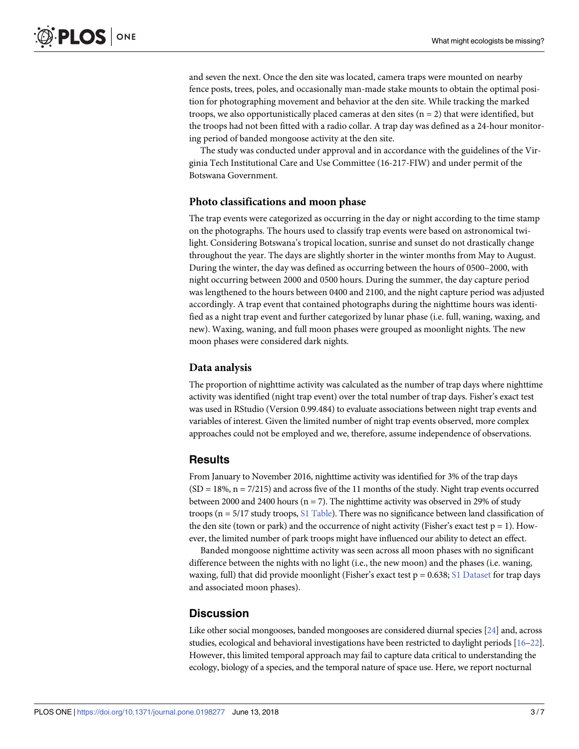<span id="page-2-0"></span>and seven the next. Once the den site was located, camera traps were mounted on nearby fence posts, trees, poles, and occasionally man-made stake mounts to obtain the optimal position for photographing movement and behavior at the den site. While tracking the marked troops, we also opportunistically placed cameras at den sites  $(n = 2)$  that were identified, but the troops had not been fitted with a radio collar. A trap day was defined as a 24-hour monitoring period of banded mongoose activity at the den site.

The study was conducted under approval and in accordance with the guidelines of the Virginia Tech Institutional Care and Use Committee (16-217-FIW) and under permit of the Botswana Government.

#### **Photo classifications and moon phase**

The trap events were categorized as occurring in the day or night according to the time stamp on the photographs. The hours used to classify trap events were based on astronomical twilight. Considering Botswana's tropical location, sunrise and sunset do not drastically change throughout the year. The days are slightly shorter in the winter months from May to August. During the winter, the day was defined as occurring between the hours of 0500–2000, with night occurring between 2000 and 0500 hours. During the summer, the day capture period was lengthened to the hours between 0400 and 2100, and the night capture period was adjusted accordingly. A trap event that contained photographs during the nighttime hours was identified as a night trap event and further categorized by lunar phase (i.e. full, waning, waxing, and new). Waxing, waning, and full moon phases were grouped as moonlight nights. The new moon phases were considered dark nights.

#### **Data analysis**

The proportion of nighttime activity was calculated as the number of trap days where nighttime activity was identified (night trap event) over the total number of trap days. Fisher's exact test was used in RStudio (Version 0.99.484) to evaluate associations between night trap events and variables of interest. Given the limited number of night trap events observed, more complex approaches could not be employed and we, therefore, assume independence of observations.

## **Results**

From January to November 2016, nighttime activity was identified for 3% of the trap days  $(SD = 18\%, n = 7/215)$  and across five of the 11 months of the study. Night trap events occurred between 2000 and 2400 hours ( $n = 7$ ). The nighttime activity was observed in 29% of study troops (n = 5/17 study troops, S1 [Table](#page-4-0)). There was no significance between land classification of the den site (town or park) and the occurrence of night activity (Fisher's exact test  $p = 1$ ). However, the limited number of park troops might have influenced our ability to detect an effect.

Banded mongoose nighttime activity was seen across all moon phases with no significant difference between the nights with no light (i.e., the new moon) and the phases (i.e. waning, waxing, full) that did provide moonlight (Fisher's exact test  $p = 0.638$ ; S1 [Dataset](#page-4-0) for trap days and associated moon phases).

#### **Discussion**

Like other social mongooses, banded mongooses are considered diurnal species [\[24\]](#page-5-0) and, across studies, ecological and behavioral investigations have been restricted to daylight periods [[16–22](#page-5-0)]. However, this limited temporal approach may fail to capture data critical to understanding the ecology, biology of a species, and the temporal nature of space use. Here, we report nocturnal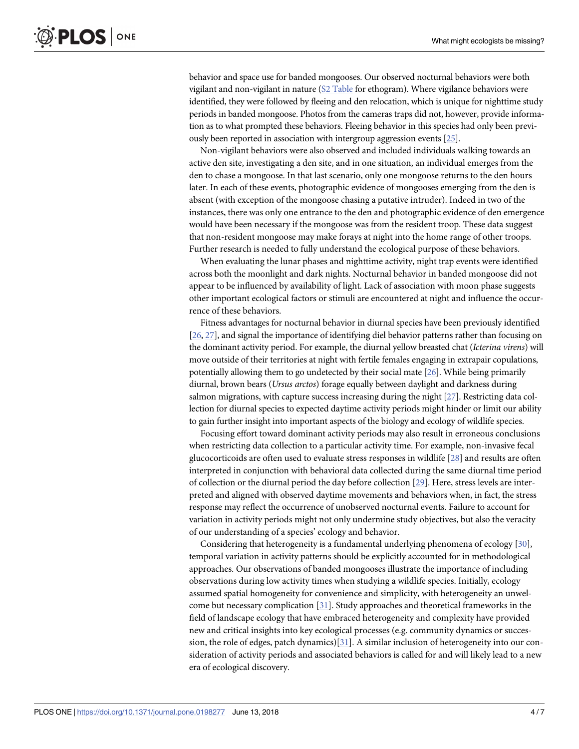<span id="page-3-0"></span>behavior and space use for banded mongooses. Our observed nocturnal behaviors were both vigilant and non-vigilant in nature (S2 [Table](#page-4-0) for ethogram). Where vigilance behaviors were identified, they were followed by fleeing and den relocation, which is unique for nighttime study periods in banded mongoose. Photos from the cameras traps did not, however, provide information as to what prompted these behaviors. Fleeing behavior in this species had only been previously been reported in association with intergroup aggression events [\[25\]](#page-5-0).

Non-vigilant behaviors were also observed and included individuals walking towards an active den site, investigating a den site, and in one situation, an individual emerges from the den to chase a mongoose. In that last scenario, only one mongoose returns to the den hours later. In each of these events, photographic evidence of mongooses emerging from the den is absent (with exception of the mongoose chasing a putative intruder). Indeed in two of the instances, there was only one entrance to the den and photographic evidence of den emergence would have been necessary if the mongoose was from the resident troop. These data suggest that non-resident mongoose may make forays at night into the home range of other troops. Further research is needed to fully understand the ecological purpose of these behaviors.

When evaluating the lunar phases and nighttime activity, night trap events were identified across both the moonlight and dark nights. Nocturnal behavior in banded mongoose did not appear to be influenced by availability of light. Lack of association with moon phase suggests other important ecological factors or stimuli are encountered at night and influence the occurrence of these behaviors.

Fitness advantages for nocturnal behavior in diurnal species have been previously identified [\[26,](#page-5-0) [27\]](#page-5-0), and signal the importance of identifying diel behavior patterns rather than focusing on the dominant activity period. For example, the diurnal yellow breasted chat (*Icterina virens*) will move outside of their territories at night with fertile females engaging in extrapair copulations, potentially allowing them to go undetected by their social mate [[26](#page-5-0)]. While being primarily diurnal, brown bears (*Ursus arctos*) forage equally between daylight and darkness during salmon migrations, with capture success increasing during the night [[27](#page-5-0)]. Restricting data collection for diurnal species to expected daytime activity periods might hinder or limit our ability to gain further insight into important aspects of the biology and ecology of wildlife species.

Focusing effort toward dominant activity periods may also result in erroneous conclusions when restricting data collection to a particular activity time. For example, non-invasive fecal glucocorticoids are often used to evaluate stress responses in wildlife [[28](#page-5-0)] and results are often interpreted in conjunction with behavioral data collected during the same diurnal time period of collection or the diurnal period the day before collection [[29](#page-6-0)]. Here, stress levels are interpreted and aligned with observed daytime movements and behaviors when, in fact, the stress response may reflect the occurrence of unobserved nocturnal events. Failure to account for variation in activity periods might not only undermine study objectives, but also the veracity of our understanding of a species' ecology and behavior.

Considering that heterogeneity is a fundamental underlying phenomena of ecology [[30](#page-6-0)], temporal variation in activity patterns should be explicitly accounted for in methodological approaches. Our observations of banded mongooses illustrate the importance of including observations during low activity times when studying a wildlife species. Initially, ecology assumed spatial homogeneity for convenience and simplicity, with heterogeneity an unwelcome but necessary complication [[31](#page-6-0)]. Study approaches and theoretical frameworks in the field of landscape ecology that have embraced heterogeneity and complexity have provided new and critical insights into key ecological processes (e.g. community dynamics or succession, the role of edges, patch dynamics)[[31](#page-6-0)]. A similar inclusion of heterogeneity into our consideration of activity periods and associated behaviors is called for and will likely lead to a new era of ecological discovery.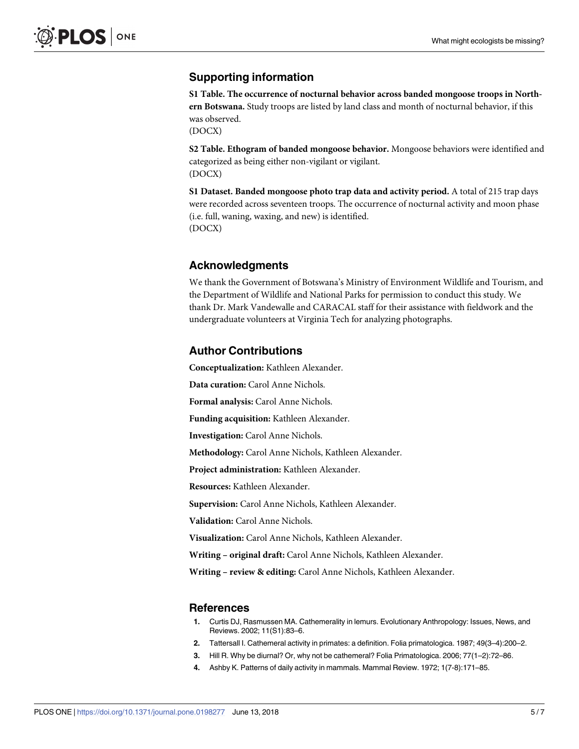# <span id="page-4-0"></span>**Supporting information**

**S1 [Table.](http://www.plosone.org/article/fetchSingleRepresentation.action?uri=info:doi/10.1371/journal.pone.0198277.s001) The occurrence of nocturnal behavior across banded mongoose troops in North-**

**ern Botswana.** Study troops are listed by land class and month of nocturnal behavior, if this was observed.

(DOCX)

**S2 [Table.](http://www.plosone.org/article/fetchSingleRepresentation.action?uri=info:doi/10.1371/journal.pone.0198277.s002) Ethogram of banded mongoose behavior.** Mongoose behaviors were identified and categorized as being either non-vigilant or vigilant. (DOCX)

**S1 [Dataset.](http://www.plosone.org/article/fetchSingleRepresentation.action?uri=info:doi/10.1371/journal.pone.0198277.s003) Banded mongoose photo trap data and activity period.** A total of 215 trap days were recorded across seventeen troops. The occurrence of nocturnal activity and moon phase (i.e. full, waning, waxing, and new) is identified. (DOCX)

## **Acknowledgments**

We thank the Government of Botswana's Ministry of Environment Wildlife and Tourism, and the Department of Wildlife and National Parks for permission to conduct this study. We thank Dr. Mark Vandewalle and CARACAL staff for their assistance with fieldwork and the undergraduate volunteers at Virginia Tech for analyzing photographs.

## **Author Contributions**

**Conceptualization:** Kathleen Alexander.

**Data curation:** Carol Anne Nichols.

**Formal analysis:** Carol Anne Nichols.

**Funding acquisition:** Kathleen Alexander.

**Investigation:** Carol Anne Nichols.

**Methodology:** Carol Anne Nichols, Kathleen Alexander.

**Project administration:** Kathleen Alexander.

**Resources:** Kathleen Alexander.

**Supervision:** Carol Anne Nichols, Kathleen Alexander.

**Validation:** Carol Anne Nichols.

**Visualization:** Carol Anne Nichols, Kathleen Alexander.

**Writing – original draft:** Carol Anne Nichols, Kathleen Alexander.

**Writing – review & editing:** Carol Anne Nichols, Kathleen Alexander.

#### **References**

- **[1](#page-0-0).** Curtis DJ, Rasmussen MA. Cathemerality in lemurs. Evolutionary Anthropology: Issues, News, and Reviews. 2002; 11(S1):83–6.
- **[2](#page-1-0).** Tattersall I. Cathemeral activity in primates: a definition. Folia primatologica. 1987; 49(3–4):200–2.
- **[3](#page-0-0).** Hill R. Why be diurnal? Or, why not be cathemeral? Folia Primatologica. 2006; 77(1–2):72–86.
- **[4](#page-0-0).** Ashby K. Patterns of daily activity in mammals. Mammal Review. 1972; 1(7-8):171–85.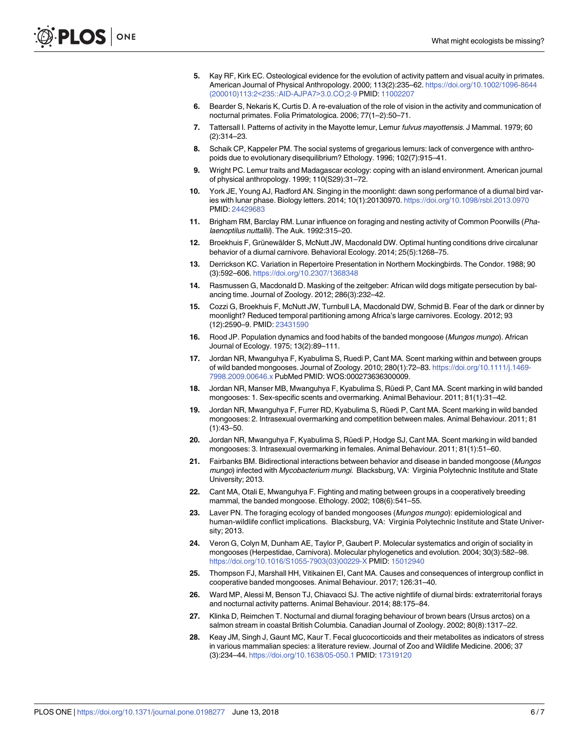- <span id="page-5-0"></span>**[5](#page-0-0).** Kay RF, Kirk EC. Osteological evidence for the evolution of activity pattern and visual acuity in primates. American Journal of Physical Anthropology. 2000; 113(2):235–62. [https://doi.org/10.1002/1096-8644](https://doi.org/10.1002/1096-8644(200010)113:2<235::AID-AJPA7>3.0.CO;2-9) (200010)113:2<[235::AID-AJPA7](https://doi.org/10.1002/1096-8644(200010)113:2<235::AID-AJPA7>3.0.CO;2-9)>3.0.CO;2-9 PMID: [11002207](http://www.ncbi.nlm.nih.gov/pubmed/11002207)
- **[6](#page-1-0).** Bearder S, Nekaris K, Curtis D. A re-evaluation of the role of vision in the activity and communication of nocturnal primates. Folia Primatologica. 2006; 77(1–2):50–71.
- **[7](#page-1-0).** Tattersall I. Patterns of activity in the Mayotte lemur, Lemur fulvus mayottensis. J Mammal. 1979; 60 (2):314–23.
- **[8](#page-1-0).** Schaik CP, Kappeler PM. The social systems of gregarious lemurs: lack of convergence with anthropoids due to evolutionary disequilibrium? Ethology. 1996; 102(7):915–41.
- **[9](#page-1-0).** Wright PC. Lemur traits and Madagascar ecology: coping with an island environment. American journal of physical anthropology. 1999; 110(S29):31–72.
- **[10](#page-1-0).** York JE, Young AJ, Radford AN. Singing in the moonlight: dawn song performance of a diurnal bird varies with lunar phase. Biology letters. 2014; 10(1):20130970. <https://doi.org/10.1098/rsbl.2013.0970> PMID: [24429683](http://www.ncbi.nlm.nih.gov/pubmed/24429683)
- **11.** Brigham RM, Barclay RM. Lunar influence on foraging and nesting activity of Common Poorwills (Phalaenoptilus nuttallii). The Auk. 1992:315–20.
- **[12](#page-1-0).** Broekhuis F, Grünewälder S, McNutt JW, Macdonald DW. Optimal hunting conditions drive circalunar behavior of a diurnal carnivore. Behavioral Ecology. 2014; 25(5):1268–75.
- **[13](#page-1-0).** Derrickson KC. Variation in Repertoire Presentation in Northern Mockingbirds. The Condor. 1988; 90 (3):592–606. <https://doi.org/10.2307/1368348>
- **[14](#page-1-0).** Rasmussen G, Macdonald D. Masking of the zeitgeber: African wild dogs mitigate persecution by balancing time. Journal of Zoology. 2012; 286(3):232–42.
- **[15](#page-1-0).** Cozzi G, Broekhuis F, McNutt JW, Turnbull LA, Macdonald DW, Schmid B. Fear of the dark or dinner by moonlight? Reduced temporal partitioning among Africa's large carnivores. Ecology. 2012; 93 (12):2590–9. PMID: [23431590](http://www.ncbi.nlm.nih.gov/pubmed/23431590)
- **[16](#page-1-0).** Rood JP. Population dynamics and food habits of the banded mongoose (Mungos mungo). African Journal of Ecology. 1975; 13(2):89–111.
- **17.** Jordan NR, Mwanguhya F, Kyabulima S, Ruedi P, Cant MA. Scent marking within and between groups of wild banded mongooses. Journal of Zoology. 2010; 280(1):72–83. [https://doi.org/10.1111/j.1469-](https://doi.org/10.1111/j.1469-7998.2009.00646.x) [7998.2009.00646.x](https://doi.org/10.1111/j.1469-7998.2009.00646.x) PubMed PMID: WOS:000273636300009.
- **18.** Jordan NR, Manser MB, Mwanguhya F, Kyabulima S, Rüedi P, Cant MA. Scent marking in wild banded mongooses: 1. Sex-specific scents and overmarking. Animal Behaviour. 2011; 81(1):31–42.
- 19. Jordan NR, Mwanguhya F, Furrer RD, Kyabulima S, Rüedi P, Cant MA. Scent marking in wild banded mongooses: 2. Intrasexual overmarking and competition between males. Animal Behaviour. 2011; 81 (1):43–50.
- 20. Jordan NR, Mwanguhya F, Kyabulima S, Rüedi P, Hodge SJ, Cant MA. Scent marking in wild banded mongooses: 3. Intrasexual overmarking in females. Animal Behaviour. 2011; 81(1):51–60.
- **21.** Fairbanks BM. Bidirectional interactions between behavior and disease in banded mongoose (Mungos mungo) infected with Mycobacterium mungi. Blacksburg, VA: Virginia Polytechnic Institute and State University; 2013.
- **[22](#page-1-0).** Cant MA, Otali E, Mwanguhya F. Fighting and mating between groups in a cooperatively breeding mammal, the banded mongoose. Ethology. 2002; 108(6):541–55.
- **[23](#page-1-0).** Laver PN. The foraging ecology of banded mongooses (Mungos mungo): epidemiological and human-wildlife conflict implications. Blacksburg, VA: Virginia Polytechnic Institute and State University; 2013.
- **[24](#page-2-0).** Veron G, Colyn M, Dunham AE, Taylor P, Gaubert P. Molecular systematics and origin of sociality in mongooses (Herpestidae, Carnivora). Molecular phylogenetics and evolution. 2004; 30(3):582–98. [https://doi.org/10.1016/S1055-7903\(03\)00229-X](https://doi.org/10.1016/S1055-7903(03)00229-X) PMID: [15012940](http://www.ncbi.nlm.nih.gov/pubmed/15012940)
- **[25](#page-3-0).** Thompson FJ, Marshall HH, Vitikainen EI, Cant MA. Causes and consequences of intergroup conflict in cooperative banded mongooses. Animal Behaviour. 2017; 126:31–40.
- **[26](#page-3-0).** Ward MP, Alessi M, Benson TJ, Chiavacci SJ. The active nightlife of diurnal birds: extraterritorial forays and nocturnal activity patterns. Animal Behaviour. 2014; 88:175–84.
- **[27](#page-3-0).** Klinka D, Reimchen T. Nocturnal and diurnal foraging behaviour of brown bears (Ursus arctos) on a salmon stream in coastal British Columbia. Canadian Journal of Zoology. 2002; 80(8):1317–22.
- **[28](#page-3-0).** Keay JM, Singh J, Gaunt MC, Kaur T. Fecal glucocorticoids and their metabolites as indicators of stress in various mammalian species: a literature review. Journal of Zoo and Wildlife Medicine. 2006; 37 (3):234–44. <https://doi.org/10.1638/05-050.1> PMID: [17319120](http://www.ncbi.nlm.nih.gov/pubmed/17319120)